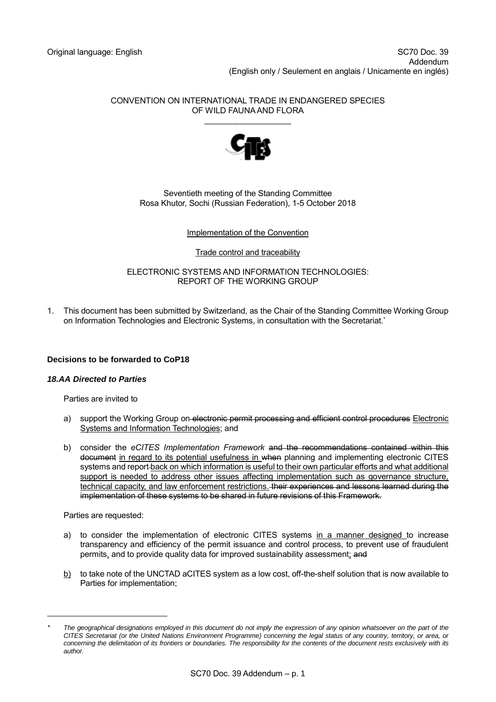CONVENTION ON INTERNATIONAL TRADE IN ENDANGERED SPECIES OF WILD FAUNA AND FLORA \_\_\_\_\_\_\_\_\_\_\_\_\_\_\_\_\_\_\_



Seventieth meeting of the Standing Committee Rosa Khutor, Sochi (Russian Federation), 1-5 October 2018

# Implementation of the Convention

### Trade control and traceability

ELECTRONIC SYSTEMS AND INFORMATION TECHNOLOGIES: REPORT OF THE WORKING GROUP

1. This document has been submitted by Switzerland, as the Chair of the Standing Committee Working Group on Information Technologies and Electronic Systems, in consultation with the Secretariat. \*

# **Decisions to be forwarded to CoP18**

### *18.AA Directed to Parties*

Parties are invited to

- a) support the Working Group on-electronic permit processing and efficient control procedures Electronic Systems and Information Technologies; and
- b) consider the *eCITES Implementation Framework* and the recommendations contained within this document in regard to its potential usefulness in when planning and implementing electronic CITES systems and report back on which information is useful to their own particular efforts and what additional support is needed to address other issues affecting implementation such as governance structure, technical capacity, and law enforcement restrictions. their experiences and lessons learned during the implementation of these systems to be shared in future revisions of this Framework.

Parties are requested:

-

- a) to consider the implementation of electronic CITES systems in a manner designed to increase transparency and efficiency of the permit issuance and control process, to prevent use of fraudulent permits, and to provide quality data for improved sustainability assessment; and
- b) to take note of the UNCTAD aCITES system as a low cost, off-the-shelf solution that is now available to Parties for implementation;

*<sup>\*</sup> The geographical designations employed in this document do not imply the expression of any opinion whatsoever on the part of the CITES Secretariat (or the United Nations Environment Programme) concerning the legal status of any country, territory, or area, or*  concerning the delimitation of its frontiers or boundaries. The responsibility for the contents of the document rests exclusively with its *author.*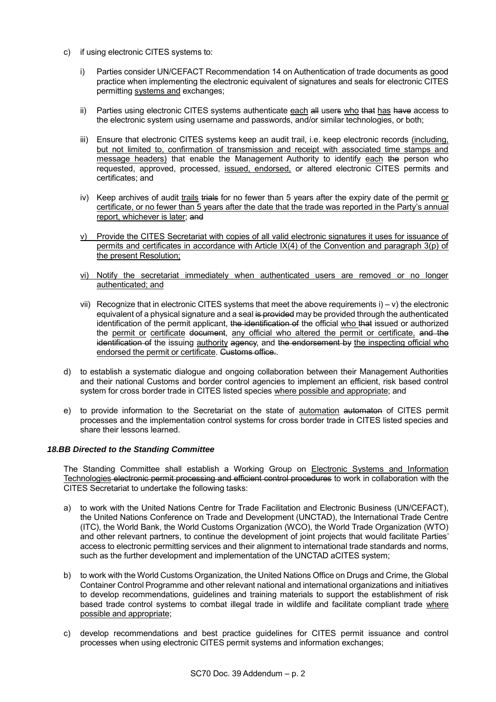- c) if using electronic CITES systems to:
	- i) Parties consider UN/CEFACT Recommendation 14 on Authentication of trade documents as good practice when implementing the electronic equivalent of signatures and seals for electronic CITES permitting systems and exchanges;
	- ii) Parties using electronic CITES systems authenticate each all users who that has have access to the electronic system using username and passwords, and/or similar technologies, or both;
	- iii) Ensure that electronic CITES systems keep an audit trail, i.e. keep electronic records (including, but not limited to, confirmation of transmission and receipt with associated time stamps and message headers) that enable the Management Authority to identify each the person who requested, approved, processed, issued, endorsed, or altered electronic CITES permits and certificates; and
	- iv) Keep archives of audit trails trials for no fewer than 5 years after the expiry date of the permit or certificate, or no fewer than 5 years after the date that the trade was reported in the Party's annual report, whichever is later; and
	- v) Provide the CITES Secretariat with copies of all valid electronic signatures it uses for issuance of permits and certificates in accordance with Article IX(4) of the Convention and paragraph 3(p) of the present Resolution;
	- vi) Notify the secretariat immediately when authenticated users are removed or no longer authenticated; and
	- vii) Recognize that in electronic CITES systems that meet the above requirements  $i$ ) v) the electronic equivalent of a physical signature and a seal is provided may be provided through the authenticated identification of the permit applicant, the identification of the official who that issued or authorized the permit or certificate document, any official who altered the permit or certificate, and the identification of the issuing authority agency, and the endorsement by the inspecting official who endorsed the permit or certificate. Customs office..
- d) to establish a systematic dialogue and ongoing collaboration between their Management Authorities and their national Customs and border control agencies to implement an efficient, risk based control system for cross border trade in CITES listed species where possible and appropriate; and
- e) to provide information to the Secretariat on the state of automation automaton of CITES permit processes and the implementation control systems for cross border trade in CITES listed species and share their lessons learned.

# *18.BB Directed to the Standing Committee*

The Standing Committee shall establish a Working Group on Electronic Systems and Information Technologies electronic permit processing and efficient control procedures to work in collaboration with the CITES Secretariat to undertake the following tasks:

- a) to work with the United Nations Centre for Trade Facilitation and Electronic Business (UN/CEFACT), the United Nations Conference on Trade and Development (UNCTAD), the International Trade Centre (ITC), the World Bank, the World Customs Organization (WCO), the World Trade Organization (WTO) and other relevant partners, to continue the development of joint projects that would facilitate Parties' access to electronic permitting services and their alignment to international trade standards and norms, such as the further development and implementation of the UNCTAD aCITES system;
- b) to work with the World Customs Organization, the United Nations Office on Drugs and Crime, the Global Container Control Programme and other relevant national and international organizations and initiatives to develop recommendations, guidelines and training materials to support the establishment of risk based trade control systems to combat illegal trade in wildlife and facilitate compliant trade where possible and appropriate;
- c) develop recommendations and best practice guidelines for CITES permit issuance and control processes when using electronic CITES permit systems and information exchanges;